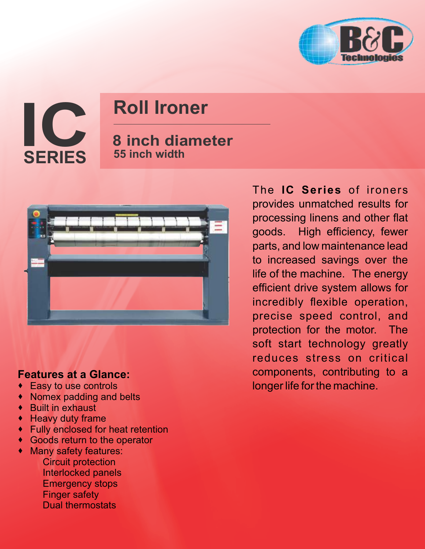

**IC SERIES**

## **Roll Ironer**

## **8 inch diameter 55 inch width**



## **Features at a Glance:**

- · Easy to use controls
- · Nomex padding and belts
- · Built in exhaust
- · Heavy duty frame
- · Fully enclosed for heat retention
- · Goods return to the operator
- · Many safety features: Circuit protection Interlocked panels
	- Emergency stops
	- Finger safety
	- Dual thermostats

The **IC Series** of ironers provides unmatched results for processing linens and other flat goods. High efficiency, fewer parts, and low maintenance lead to increased savings over the life of the machine. The energy efficient drive system allows for incredibly flexible operation, precise speed control, and protection for the motor. The soft start technology greatly reduces stress on critical components, contributing to a longer life for the machine.